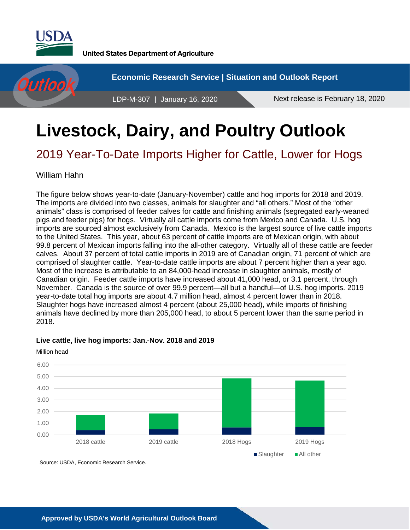

**United States Department of Agriculture** 

**Economic Research Service | Situation and Outlook Report** Outloo LDP-M-307 | January 16, 2020 Next release is February 18, 2020

# **Livestock, Dairy, and Poultry Outlook**

# 2019 Year-To-Date Imports Higher for Cattle, Lower for Hogs

William Hahn

The figure below shows year-to-date (January-November) cattle and hog imports for 2018 and 2019. The imports are divided into two classes, animals for slaughter and "all others." Most of the "other animals" class is comprised of feeder calves for cattle and finishing animals (segregated early-weaned pigs and feeder pigs) for hogs. Virtually all cattle imports come from Mexico and Canada. U.S. hog imports are sourced almost exclusively from Canada. Mexico is the largest source of live cattle imports to the United States. This year, about 63 percent of cattle imports are of Mexican origin, with about 99.8 percent of Mexican imports falling into the all-other category. Virtually all of these cattle are feeder calves. About 37 percent of total cattle imports in 2019 are of Canadian origin, 71 percent of which are comprised of slaughter cattle. Year-to-date cattle imports are about 7 percent higher than a year ago. Most of the increase is attributable to an 84,000-head increase in slaughter animals, mostly of Canadian origin. Feeder cattle imports have increased about 41,000 head, or 3.1 percent, through November. Canada is the source of over 99.9 percent—all but a handful—of U.S. hog imports. 2019 year-to-date total hog imports are about 4.7 million head, almost 4 percent lower than in 2018. Slaughter hogs have increased almost 4 percent (about 25,000 head), while imports of finishing animals have declined by more than 205,000 head, to about 5 percent lower than the same period in 2018.

#### **Live cattle, live hog imports: Jan.-Nov. 2018 and 2019**

0.00 1.00 2.00 3.00 4.00 5.00 6.00 2018 cattle 2019 cattle 2018 Hogs 2019 Hogs Slaughter All other Source: USDA, Economic Research Service.

Million head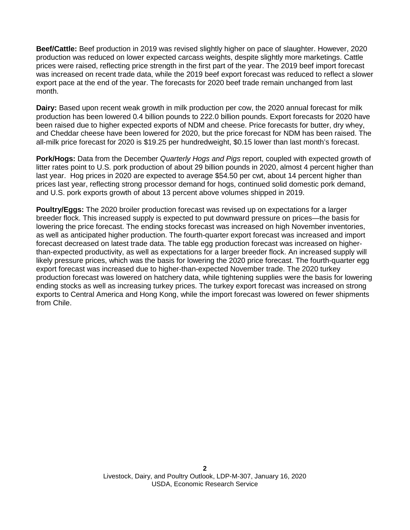**Beef/Cattle:** Beef production in 2019 was revised slightly higher on pace of slaughter. However, 2020 production was reduced on lower expected carcass weights, despite slightly more marketings. Cattle prices were raised, reflecting price strength in the first part of the year. The 2019 beef import forecast was increased on recent trade data, while the 2019 beef export forecast was reduced to reflect a slower export pace at the end of the year. The forecasts for 2020 beef trade remain unchanged from last month.

**Dairy:** Based upon recent weak growth in milk production per cow, the 2020 annual forecast for milk production has been lowered 0.4 billion pounds to 222.0 billion pounds. Export forecasts for 2020 have been raised due to higher expected exports of NDM and cheese. Price forecasts for butter, dry whey, and Cheddar cheese have been lowered for 2020, but the price forecast for NDM has been raised. The all-milk price forecast for 2020 is \$19.25 per hundredweight, \$0.15 lower than last month's forecast.

**Pork/Hogs:** Data from the December *Quarterly Hogs and Pigs* report, coupled with expected growth of litter rates point to U.S. pork production of about 29 billion pounds in 2020, almost 4 percent higher than last year. Hog prices in 2020 are expected to average \$54.50 per cwt, about 14 percent higher than prices last year, reflecting strong processor demand for hogs, continued solid domestic pork demand, and U.S. pork exports growth of about 13 percent above volumes shipped in 2019.

**Poultry/Eggs:** The 2020 broiler production forecast was revised up on expectations for a larger breeder flock. This increased supply is expected to put downward pressure on prices—the basis for lowering the price forecast. The ending stocks forecast was increased on high November inventories, as well as anticipated higher production. The fourth-quarter export forecast was increased and import forecast decreased on latest trade data. The table egg production forecast was increased on higherthan-expected productivity, as well as expectations for a larger breeder flock. An increased supply will likely pressure prices, which was the basis for lowering the 2020 price forecast. The fourth-quarter egg export forecast was increased due to higher-than-expected November trade. The 2020 turkey production forecast was lowered on hatchery data, while tightening supplies were the basis for lowering ending stocks as well as increasing turkey prices. The turkey export forecast was increased on strong exports to Central America and Hong Kong, while the import forecast was lowered on fewer shipments from Chile.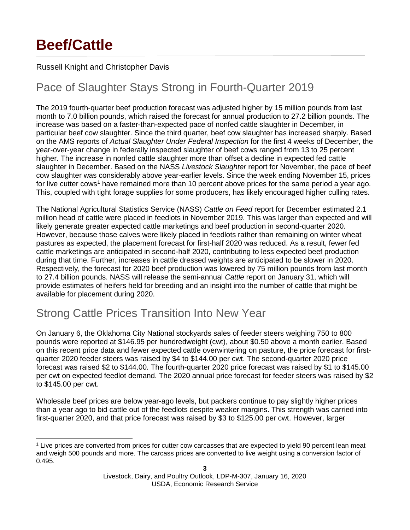# **Beef/Cattle**

### Russell Knight and Christopher Davis

# Pace of Slaughter Stays Strong in Fourth-Quarter 2019

The 2019 fourth-quarter beef production forecast was adjusted higher by 15 million pounds from last month to 7.0 billion pounds, which raised the forecast for annual production to 27.2 billion pounds. The increase was based on a faster-than-expected pace of nonfed cattle slaughter in December, in particular beef cow slaughter. Since the third quarter, beef cow slaughter has increased sharply. Based on the AMS reports of *Actual Slaughter Under Federal Inspection* for the first 4 weeks of December, the year-over-year change in federally inspected slaughter of beef cows ranged from 13 to 25 percent higher. The increase in nonfed cattle slaughter more than offset a decline in expected fed cattle slaughter in December. Based on the NASS *Livestock Slaughter* report for November, the pace of beef cow slaughter was considerably above year-earlier levels. Since the week ending November 15, prices for live cutter cows<sup>[1](#page-2-0)</sup> have remained more than 10 percent above prices for the same period a year ago. This, coupled with tight forage supplies for some producers, has likely encouraged higher culling rates.

The National Agricultural Statistics Service (NASS) *Cattle on Feed* report for December estimated 2.1 million head of cattle were placed in feedlots in November 2019. This was larger than expected and will likely generate greater expected cattle marketings and beef production in second-quarter 2020. However, because those calves were likely placed in feedlots rather than remaining on winter wheat pastures as expected, the placement forecast for first-half 2020 was reduced. As a result, fewer fed cattle marketings are anticipated in second-half 2020, contributing to less expected beef production during that time. Further, increases in cattle dressed weights are anticipated to be slower in 2020. Respectively, the forecast for 2020 beef production was lowered by 75 million pounds from last month to 27.4 billion pounds. NASS will release the semi-annual *Cattle* report on January 31, which will provide estimates of heifers held for breeding and an insight into the number of cattle that might be available for placement during 2020.

# Strong Cattle Prices Transition Into New Year

On January 6, the Oklahoma City National stockyards sales of feeder steers weighing 750 to 800 pounds were reported at \$146.95 per hundredweight (cwt), about \$0.50 above a month earlier. Based on this recent price data and fewer expected cattle overwintering on pasture, the price forecast for firstquarter 2020 feeder steers was raised by \$4 to \$144.00 per cwt. The second-quarter 2020 price forecast was raised \$2 to \$144.00. The fourth-quarter 2020 price forecast was raised by \$1 to \$145.00 per cwt on expected feedlot demand. The 2020 annual price forecast for feeder steers was raised by \$2 to \$145.00 per cwt.

Wholesale beef prices are below year-ago levels, but packers continue to pay slightly higher prices than a year ago to bid cattle out of the feedlots despite weaker margins. This strength was carried into first-quarter 2020, and that price forecast was raised by \$3 to \$125.00 per cwt. However, larger

<span id="page-2-0"></span> <sup>1</sup> Live prices are converted from prices for cutter cow carcasses that are expected to yield 90 percent lean meat and weigh 500 pounds and more. The carcass prices are converted to live weight using a conversion factor of 0.495.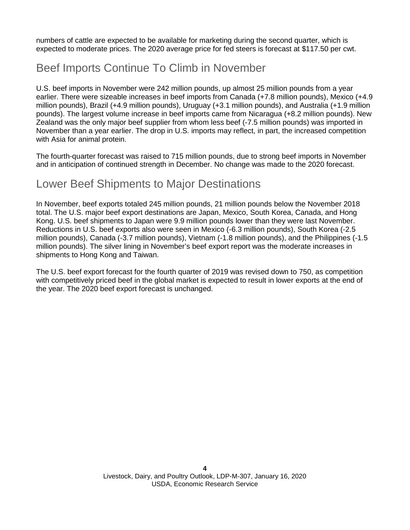numbers of cattle are expected to be available for marketing during the second quarter, which is expected to moderate prices. The 2020 average price for fed steers is forecast at \$117.50 per cwt.

# Beef Imports Continue To Climb in November

U.S. beef imports in November were 242 million pounds, up almost 25 million pounds from a year earlier. There were sizeable increases in beef imports from Canada (+7.8 million pounds), Mexico (+4.9 million pounds), Brazil (+4.9 million pounds), Uruguay (+3.1 million pounds), and Australia (+1.9 million pounds). The largest volume increase in beef imports came from Nicaragua (+8.2 million pounds). New Zealand was the only major beef supplier from whom less beef (-7.5 million pounds) was imported in November than a year earlier. The drop in U.S. imports may reflect, in part, the increased competition with Asia for animal protein.

The fourth-quarter forecast was raised to 715 million pounds, due to strong beef imports in November and in anticipation of continued strength in December. No change was made to the 2020 forecast.

### Lower Beef Shipments to Major Destinations

In November, beef exports totaled 245 million pounds, 21 million pounds below the November 2018 total. The U.S. major beef export destinations are Japan, Mexico, South Korea, Canada, and Hong Kong. U.S. beef shipments to Japan were 9.9 million pounds lower than they were last November. Reductions in U.S. beef exports also were seen in Mexico (-6.3 million pounds), South Korea (-2.5 million pounds), Canada (-3.7 million pounds), Vietnam (-1.8 million pounds), and the Philippines (-1.5 million pounds). The silver lining in November's beef export report was the moderate increases in shipments to Hong Kong and Taiwan.

The U.S. beef export forecast for the fourth quarter of 2019 was revised down to 750, as competition with competitively priced beef in the global market is expected to result in lower exports at the end of the year. The 2020 beef export forecast is unchanged.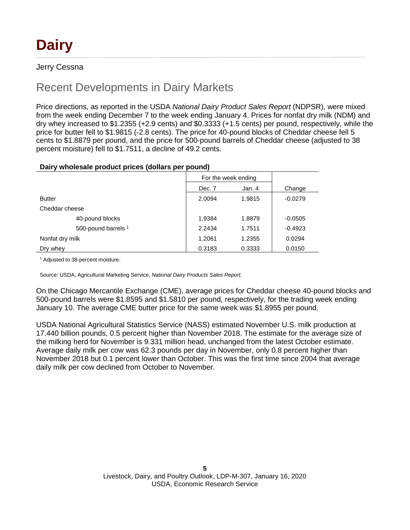# **Dairy**

### Jerry Cessna

# Recent Developments in Dairy Markets

Price directions, as reported in the USDA *National Dairy Product Sales Report* (NDPSR), were mixed from the week ending December 7 to the week ending January 4. Prices for nonfat dry milk (NDM) and dry whey increased to \$1.2355 (+2.9 cents) and \$0.3333 (+1.5 cents) per pound, respectively, while the price for butter fell to \$1.9815 (-2.8 cents). The price for 40-pound blocks of Cheddar cheese fell 5 cents to \$1.8879 per pound, and the price for 500-pound barrels of Cheddar cheese (adjusted to 38 percent moisture) fell to \$1.7511, a decline of 49.2 cents.

### **Dairy wholesale product prices (dollars per pound)**

|                                | For the week ending |        |           |
|--------------------------------|---------------------|--------|-----------|
|                                | Dec. 7              | Jan. 4 | Change    |
| <b>Butter</b>                  | 2.0094              | 1.9815 | $-0.0279$ |
| Cheddar cheese                 |                     |        |           |
| 40-pound blocks                | 1.9384              | 1.8879 | $-0.0505$ |
| 500-pound barrels <sup>1</sup> | 2.2434              | 1.7511 | $-0.4923$ |
| Nonfat dry milk                | 1.2061              | 1.2355 | 0.0294    |
| Dry whey                       | 0.3183              | 0.3333 | 0.0150    |

<sup>1</sup> Adjusted to 38-percent moisture.

Source: USDA, Agricultural Marketing Service, *National Dairy Products Sales Report*.

On the Chicago Mercantile Exchange (CME), average prices for Cheddar cheese 40-pound blocks and 500-pound barrels were \$1.8595 and \$1.5810 per pound, respectively, for the trading week ending January 10. The average CME butter price for the same week was \$1.8955 per pound.

USDA National Agricultural Statistics Service (NASS) estimated November U.S. milk production at 17.440 billion pounds, 0.5 percent higher than November 2018. The estimate for the average size of the milking herd for November is 9.331 million head, unchanged from the latest October estimate. Average daily milk per cow was 62.3 pounds per day in November, only 0.8 percent higher than November 2018 but 0.1 percent lower than October. This was the first time since 2004 that average daily milk per cow declined from October to November.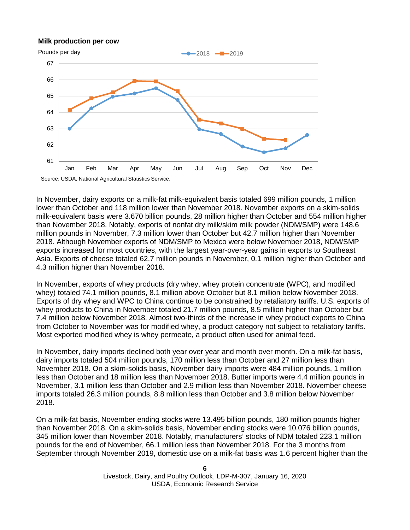#### **Milk production per cow**



In November, dairy exports on a milk-fat milk-equivalent basis totaled 699 million pounds, 1 million lower than October and 118 million lower than November 2018. November exports on a skim-solids milk-equivalent basis were 3.670 billion pounds, 28 million higher than October and 554 million higher than November 2018. Notably, exports of nonfat dry milk/skim milk powder (NDM/SMP) were 148.6 million pounds in November, 7.3 million lower than October but 42.7 million higher than November 2018. Although November exports of NDM/SMP to Mexico were below November 2018, NDM/SMP exports increased for most countries, with the largest year-over-year gains in exports to Southeast Asia. Exports of cheese totaled 62.7 million pounds in November, 0.1 million higher than October and 4.3 million higher than November 2018.

In November, exports of whey products (dry whey, whey protein concentrate (WPC), and modified whey) totaled 74.1 million pounds, 8.1 million above October but 8.1 million below November 2018. Exports of dry whey and WPC to China continue to be constrained by retaliatory tariffs. U.S. exports of whey products to China in November totaled 21.7 million pounds, 8.5 million higher than October but 7.4 million below November 2018. Almost two-thirds of the increase in whey product exports to China from October to November was for modified whey, a product category not subject to retaliatory tariffs. Most exported modified whey is whey permeate, a product often used for animal feed.

In November, dairy imports declined both year over year and month over month. On a milk-fat basis, dairy imports totaled 504 million pounds, 170 million less than October and 27 million less than November 2018. On a skim-solids basis, November dairy imports were 484 million pounds, 1 million less than October and 18 million less than November 2018. Butter imports were 4.4 million pounds in November, 3.1 million less than October and 2.9 million less than November 2018. November cheese imports totaled 26.3 million pounds, 8.8 million less than October and 3.8 million below November 2018.

On a milk-fat basis, November ending stocks were 13.495 billion pounds, 180 million pounds higher than November 2018. On a skim-solids basis, November ending stocks were 10.076 billion pounds, 345 million lower than November 2018. Notably, manufacturers' stocks of NDM totaled 223.1 million pounds for the end of November, 66.1 million less than November 2018. For the 3 months from September through November 2019, domestic use on a milk-fat basis was 1.6 percent higher than the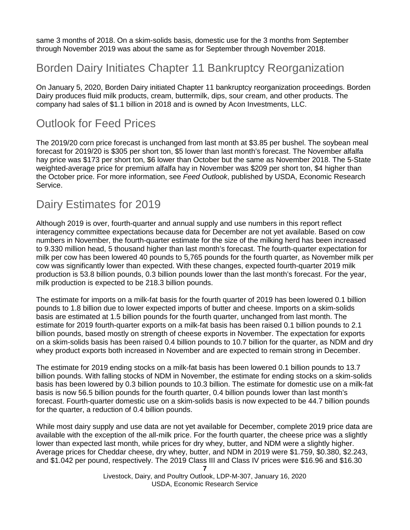same 3 months of 2018. On a skim-solids basis, domestic use for the 3 months from September through November 2019 was about the same as for September through November 2018.

### Borden Dairy Initiates Chapter 11 Bankruptcy Reorganization

On January 5, 2020, Borden Dairy initiated Chapter 11 bankruptcy reorganization proceedings. Borden Dairy produces fluid milk products, cream, buttermilk, dips, sour cream, and other products. The company had sales of \$1.1 billion in 2018 and is owned by Acon Investments, LLC.

### Outlook for Feed Prices

The 2019/20 corn price forecast is unchanged from last month at \$3.85 per bushel. The soybean meal forecast for 2019/20 is \$305 per short ton, \$5 lower than last month's forecast. The November alfalfa hay price was \$173 per short ton, \$6 lower than October but the same as November 2018. The 5-State weighted-average price for premium alfalfa hay in November was \$209 per short ton, \$4 higher than the October price. For more information, see *Feed Outlook*, published by USDA, Economic Research Service.

### Dairy Estimates for 2019

Although 2019 is over, fourth-quarter and annual supply and use numbers in this report reflect interagency committee expectations because data for December are not yet available. Based on cow numbers in November, the fourth-quarter estimate for the size of the milking herd has been increased to 9.330 million head, 5 thousand higher than last month's forecast. The fourth-quarter expectation for milk per cow has been lowered 40 pounds to 5,765 pounds for the fourth quarter, as November milk per cow was significantly lower than expected. With these changes, expected fourth-quarter 2019 milk production is 53.8 billion pounds, 0.3 billion pounds lower than the last month's forecast. For the year, milk production is expected to be 218.3 billion pounds.

The estimate for imports on a milk-fat basis for the fourth quarter of 2019 has been lowered 0.1 billion pounds to 1.8 billion due to lower expected imports of butter and cheese. Imports on a skim-solids basis are estimated at 1.5 billion pounds for the fourth quarter, unchanged from last month. The estimate for 2019 fourth-quarter exports on a milk-fat basis has been raised 0.1 billion pounds to 2.1 billion pounds, based mostly on strength of cheese exports in November. The expectation for exports on a skim-solids basis has been raised 0.4 billion pounds to 10.7 billion for the quarter, as NDM and dry whey product exports both increased in November and are expected to remain strong in December.

The estimate for 2019 ending stocks on a milk-fat basis has been lowered 0.1 billion pounds to 13.7 billion pounds. With falling stocks of NDM in November, the estimate for ending stocks on a skim-solids basis has been lowered by 0.3 billion pounds to 10.3 billion. The estimate for domestic use on a milk-fat basis is now 56.5 billion pounds for the fourth quarter, 0.4 billion pounds lower than last month's forecast. Fourth-quarter domestic use on a skim-solids basis is now expected to be 44.7 billion pounds for the quarter, a reduction of 0.4 billion pounds.

While most dairy supply and use data are not yet available for December, complete 2019 price data are available with the exception of the all-milk price. For the fourth quarter, the cheese price was a slightly lower than expected last month, while prices for dry whey, butter, and NDM were a slightly higher. Average prices for Cheddar cheese, dry whey, butter, and NDM in 2019 were \$1.759, \$0.380, \$2.243, and \$1.042 per pound, respectively. The 2019 Class III and Class IV prices were \$16.96 and \$16.30

**<sup>7</sup>**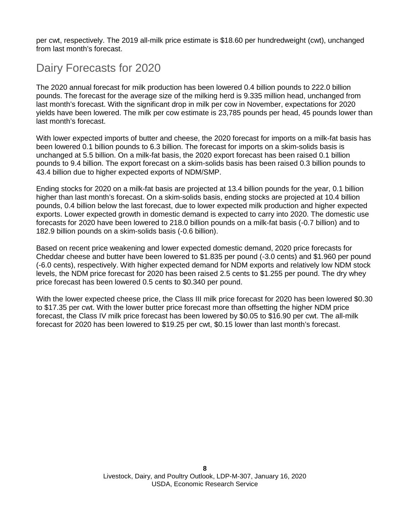per cwt, respectively. The 2019 all-milk price estimate is \$18.60 per hundredweight (cwt), unchanged from last month's forecast.

### Dairy Forecasts for 2020

The 2020 annual forecast for milk production has been lowered 0.4 billion pounds to 222.0 billion pounds. The forecast for the average size of the milking herd is 9.335 million head, unchanged from last month's forecast. With the significant drop in milk per cow in November, expectations for 2020 yields have been lowered. The milk per cow estimate is 23,785 pounds per head, 45 pounds lower than last month's forecast.

With lower expected imports of butter and cheese, the 2020 forecast for imports on a milk-fat basis has been lowered 0.1 billion pounds to 6.3 billion. The forecast for imports on a skim-solids basis is unchanged at 5.5 billion. On a milk-fat basis, the 2020 export forecast has been raised 0.1 billion pounds to 9.4 billion. The export forecast on a skim-solids basis has been raised 0.3 billion pounds to 43.4 billion due to higher expected exports of NDM/SMP.

Ending stocks for 2020 on a milk-fat basis are projected at 13.4 billion pounds for the year, 0.1 billion higher than last month's forecast. On a skim-solids basis, ending stocks are projected at 10.4 billion pounds, 0.4 billion below the last forecast, due to lower expected milk production and higher expected exports. Lower expected growth in domestic demand is expected to carry into 2020. The domestic use forecasts for 2020 have been lowered to 218.0 billion pounds on a milk-fat basis (-0.7 billion) and to 182.9 billion pounds on a skim-solids basis (-0.6 billion).

Based on recent price weakening and lower expected domestic demand, 2020 price forecasts for Cheddar cheese and butter have been lowered to \$1.835 per pound (-3.0 cents) and \$1.960 per pound (-6.0 cents), respectively. With higher expected demand for NDM exports and relatively low NDM stock levels, the NDM price forecast for 2020 has been raised 2.5 cents to \$1.255 per pound. The dry whey price forecast has been lowered 0.5 cents to \$0.340 per pound.

With the lower expected cheese price, the Class III milk price forecast for 2020 has been lowered \$0.30 to \$17.35 per cwt. With the lower butter price forecast more than offsetting the higher NDM price forecast, the Class IV milk price forecast has been lowered by \$0.05 to \$16.90 per cwt. The all-milk forecast for 2020 has been lowered to \$19.25 per cwt, \$0.15 lower than last month's forecast.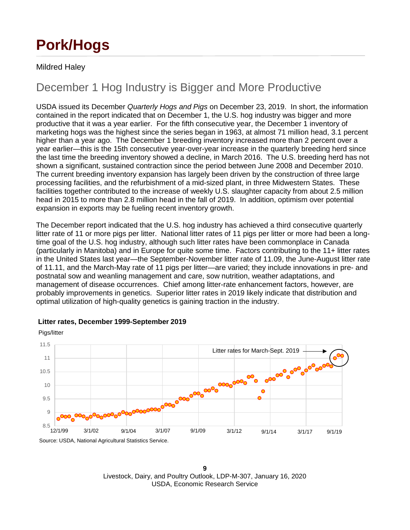# **Pork/Hogs**

### Mildred Haley

## December 1 Hog Industry is Bigger and More Productive

USDA issued its December *Quarterly Hogs and Pigs* on December 23, 2019. In short, the information contained in the report indicated that on December 1, the U.S. hog industry was bigger and more productive that it was a year earlier. For the fifth consecutive year, the December 1 inventory of marketing hogs was the highest since the series began in 1963, at almost 71 million head, 3.1 percent higher than a year ago. The December 1 breeding inventory increased more than 2 percent over a year earlier—this is the 15th consecutive year-over-year increase in the quarterly breeding herd since the last time the breeding inventory showed a decline, in March 2016. The U.S. breeding herd has not shown a significant, sustained contraction since the period between June 2008 and December 2010. The current breeding inventory expansion has largely been driven by the construction of three large processing facilities, and the refurbishment of a mid-sized plant, in three Midwestern States. These facilities together contributed to the increase of weekly U.S. slaughter capacity from about 2.5 million head in 2015 to more than 2.8 million head in the fall of 2019. In addition, optimism over potential expansion in exports may be fueling recent inventory growth.

The December report indicated that the U.S. hog industry has achieved a third consecutive quarterly litter rate of 11 or more pigs per litter. National litter rates of 11 pigs per litter or more had been a longtime goal of the U.S. hog industry, although such litter rates have been commonplace in Canada (particularly in Manitoba) and in Europe for quite some time. Factors contributing to the 11+ litter rates in the United States last year—the September-November litter rate of 11.09, the June-August litter rate of 11.11, and the March-May rate of 11 pigs per litter—are varied; they include innovations in pre- and postnatal sow and weanling management and care, sow nutrition, weather adaptations, and management of disease occurrences. Chief among litter-rate enhancement factors, however, are probably improvements in genetics. Superior litter rates in 2019 likely indicate that distribution and optimal utilization of high-quality genetics is gaining traction in the industry.



### **Litter rates, December 1999-September 2019**

**<sup>9</sup>** Livestock, Dairy, and Poultry Outlook, LDP-M-307, January 16, 2020 USDA, Economic Research Service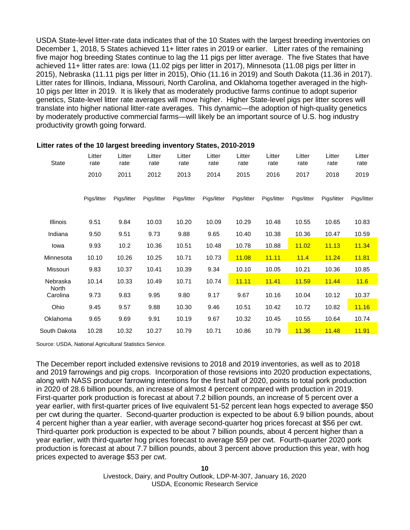USDA State-level litter-rate data indicates that of the 10 States with the largest breeding inventories on December 1, 2018, 5 States achieved 11+ litter rates in 2019 or earlier. Litter rates of the remaining five major hog breeding States continue to lag the 11 pigs per litter average. The five States that have achieved 11+ litter rates are: Iowa (11.02 pigs per litter in 2017), Minnesota (11.08 pigs per litter in 2015), Nebraska (11.11 pigs per litter in 2015), Ohio (11.16 in 2019) and South Dakota (11.36 in 2017). Litter rates for Illinois, Indiana, Missouri, North Carolina, and Oklahoma together averaged in the high-10 pigs per litter in 2019. It is likely that as moderately productive farms continue to adopt superior genetics, State-level litter rate averages will move higher. Higher State-level pigs per litter scores will translate into higher national litter-rate averages. This dynamic—the adoption of high-quality genetics by moderately productive commercial farms—will likely be an important source of U.S. hog industry productivity growth going forward.

| <b>State</b>      | Litter<br>rate | Litter<br>rate | Litter<br>rate | Litter<br>rate | Litter<br>rate | Litter<br>rate | Litter<br>rate | Litter<br>rate | Litter<br>rate | Litter<br>rate |
|-------------------|----------------|----------------|----------------|----------------|----------------|----------------|----------------|----------------|----------------|----------------|
|                   | 2010           | 2011           | 2012           | 2013           | 2014           | 2015           | 2016           | 2017           | 2018           | 2019           |
|                   | Pigs/litter    | Pigs/litter    | Pigs/litter    | Pigs/litter    | Pigs/litter    | Pigs/litter    | Pigs/litter    | Pigs/litter    | Pigs/litter    | Pigs/litter    |
| <b>Illinois</b>   | 9.51           | 9.84           | 10.03          | 10.20          | 10.09          | 10.29          | 10.48          | 10.55          | 10.65          | 10.83          |
| Indiana           | 9.50           | 9.51           | 9.73           | 9.88           | 9.65           | 10.40          | 10.38          | 10.36          | 10.47          | 10.59          |
| lowa              | 9.93           | 10.2           | 10.36          | 10.51          | 10.48          | 10.78          | 10.88          | 11.02          | 11.13          | 11.34          |
| Minnesota         | 10.10          | 10.26          | 10.25          | 10.71          | 10.73          | 11.08          | 11.11          | 11.4           | 11.24          | 11.81          |
| Missouri          | 9.83           | 10.37          | 10.41          | 10.39          | 9.34           | 10.10          | 10.05          | 10.21          | 10.36          | 10.85          |
| Nebraska          | 10.14          | 10.33          | 10.49          | 10.71          | 10.74          | 11.11          | <b>11.41</b>   | 11.59          | <b>11.44</b>   | 11.6           |
| North<br>Carolina | 9.73           | 9.83           | 9.95           | 9.80           | 9.17           | 9.67           | 10.16          | 10.04          | 10.12          | 10.37          |
| Ohio              | 9.45           | 9.57           | 9.88           | 10.30          | 9.46           | 10.51          | 10.42          | 10.72          | 10.82          | 11.16          |
| Oklahoma          | 9.65           | 9.69           | 9.91           | 10.19          | 9.67           | 10.32          | 10.45          | 10.55          | 10.64          | 10.74          |
| South Dakota      | 10.28          | 10.32          | 10.27          | 10.79          | 10.71          | 10.86          | 10.79          | 11.36          | <b>11.48</b>   | 11.91          |

#### **Litter rates of the 10 largest breeding inventory States, 2010-2019**

Source: USDA, National Agricultural Statistics Service.

The December report included extensive revisions to 2018 and 2019 inventories, as well as to 2018 and 2019 farrowings and pig crops. Incorporation of those revisions into 2020 production expectations, along with NASS producer farrowing intentions for the first half of 2020, points to total pork production in 2020 of 28.6 billion pounds, an increase of almost 4 percent compared with production in 2019. First-quarter pork production is forecast at about 7.2 billion pounds, an increase of 5 percent over a year earlier, with first-quarter prices of live equivalent 51-52 percent lean hogs expected to average \$50 per cwt during the quarter. Second-quarter production is expected to be about 6.9 billion pounds, about 4 percent higher than a year earlier, with average second-quarter hog prices forecast at \$56 per cwt. Third-quarter pork production is expected to be about 7 billion pounds, about 4 percent higher than a year earlier, with third-quarter hog prices forecast to average \$59 per cwt. Fourth-quarter 2020 pork production is forecast at about 7.7 billion pounds, about 3 percent above production this year, with hog prices expected to average \$53 per cwt.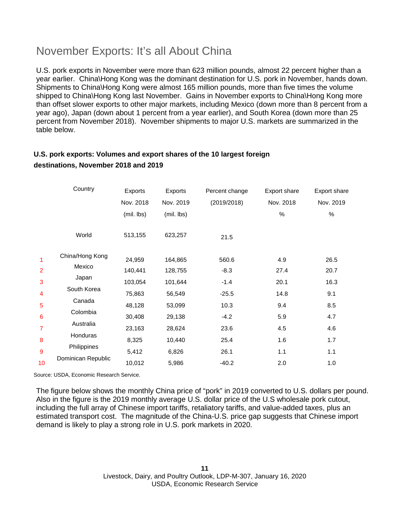# November Exports: It's all About China

U.S. pork exports in November were more than 623 million pounds, almost 22 percent higher than a year earlier. China\Hong Kong was the dominant destination for U.S. pork in November, hands down. Shipments to China\Hong Kong were almost 165 million pounds, more than five times the volume shipped to China\Hong Kong last November. Gains in November exports to China\Hong Kong more than offset slower exports to other major markets, including Mexico (down more than 8 percent from a year ago), Japan (down about 1 percent from a year earlier), and South Korea (down more than 25 percent from November 2018). November shipments to major U.S. markets are summarized in the table below.

### **U.S. pork exports: Volumes and export shares of the 10 largest foreign destinations, November 2018 and 2019**

|                 | Country            | Exports    | Exports    | Percent change | Export share | <b>Export share</b> |
|-----------------|--------------------|------------|------------|----------------|--------------|---------------------|
|                 |                    | Nov. 2018  | Nov. 2019  | (2019/2018)    | Nov. 2018    | Nov. 2019           |
|                 |                    | (mil. lbs) | (mil. lbs) |                | %            | $\%$                |
|                 | World              | 513,155    | 623,257    | 21.5           |              |                     |
| 1               | China/Hong Kong    | 24,959     | 164,865    | 560.6          | 4.9          | 26.5                |
| $\overline{2}$  | Mexico             | 140,441    | 128,755    | $-8.3$         | 27.4         | 20.7                |
| 3               | Japan              | 103,054    | 101,644    | $-1.4$         | 20.1         | 16.3                |
| 4               | South Korea        | 75,863     | 56,549     | $-25.5$        | 14.8         | 9.1                 |
| 5               | Canada             | 48,128     | 53,099     | 10.3           | 9.4          | 8.5                 |
| $6\phantom{1}6$ | Colombia           | 30,408     | 29,138     | $-4.2$         | 5.9          | 4.7                 |
| 7               | Australia          | 23,163     | 28,624     | 23.6           | 4.5          | 4.6                 |
| 8               | Honduras           | 8,325      | 10,440     | 25.4           | 1.6          | 1.7                 |
| 9               | Philippines        | 5,412      | 6,826      | 26.1           | 1.1          | 1.1                 |
| 10              | Dominican Republic | 10,012     | 5,986      | $-40.2$        | 2.0          | 1.0                 |

Source: USDA, Economic Research Service.

The figure below shows the monthly China price of "pork" in 2019 converted to U.S. dollars per pound. Also in the figure is the 2019 monthly average U.S. dollar price of the U.S wholesale pork cutout, including the full array of Chinese import tariffs, retaliatory tariffs, and value-added taxes, plus an estimated transport cost. The magnitude of the China-U.S. price gap suggests that Chinese import demand is likely to play a strong role in U.S. pork markets in 2020.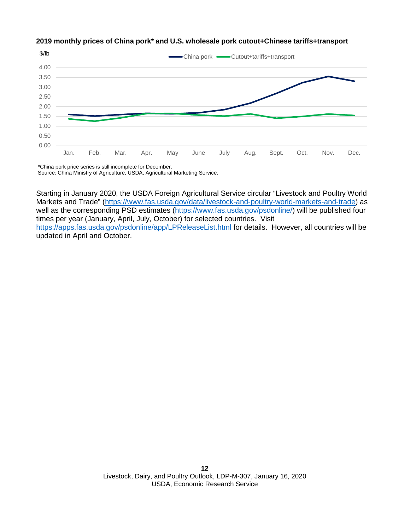

#### **2019 monthly prices of China pork\* and U.S. wholesale pork cutout+Chinese tariffs+transport**

Starting in January 2020, the USDA Foreign Agricultural Service circular "Livestock and Poultry World Markets and Trade" [\(https://www.fas.usda.gov/data/livestock-and-poultry-world-markets-and-trade\)](https://gcc02.safelinks.protection.outlook.com/?url=https%3A%2F%2Fwww.fas.usda.gov%2Fdata%2Flivestock-and-poultry-world-markets-and-trade&data=02%7C01%7C%7Cb2dc39048ca34beec6f508d7952bcd66%7Ced5b36e701ee4ebc867ee03cfa0d4697%7C0%7C0%7C637141887671936854&sdata=3VMJqm0XrVLFabvKa%2BazhhNXe250M6qX8G9YkhHy2lQ%3D&reserved=0) as well as the corresponding PSD estimates [\(https://www.fas.usda.gov/psdonline/\)](https://gcc02.safelinks.protection.outlook.com/?url=https%3A%2F%2Fwww.fas.usda.gov%2Fpsdonline%2F&data=02%7C01%7C%7Cb2dc39048ca34beec6f508d7952bcd66%7Ced5b36e701ee4ebc867ee03cfa0d4697%7C0%7C0%7C637141887671936854&sdata=JTwySemTDO6JotRU0imGY%2B0wjyDPzv0Gg7bd3m1%2F5cI%3D&reserved=0) will be published four times per year (January, April, July, October) for selected countries. Visit [https://apps.fas.usda.gov/psdonline/app/LPReleaseList.html](https://gcc02.safelinks.protection.outlook.com/?url=https%3A%2F%2Fapps.fas.usda.gov%2Fpsdonline%2Fapp%2FLPReleaseList.html&data=02%7C01%7C%7Cb2dc39048ca34beec6f508d7952bcd66%7Ced5b36e701ee4ebc867ee03cfa0d4697%7C0%7C0%7C637141887671946848&sdata=vj8zAXKOCd6KUXeRo8ZVc41YV04YiOvuqkMux%2Bf0yho%3D&reserved=0) for details. However, all countries will be updated in April and October.

<sup>\*</sup>China pork price series is still incomplete for December. Source: China Ministry of Agriculture, USDA, Agricultural Marketing Service.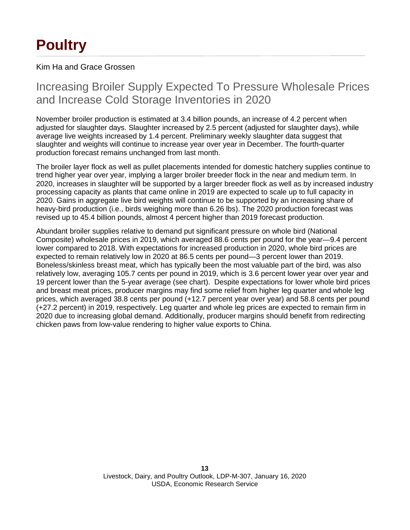# **Poultry**

Kim Ha and Grace Grossen

## Increasing Broiler Supply Expected To Pressure Wholesale Prices and Increase Cold Storage Inventories in 2020

November broiler production is estimated at 3.4 billion pounds, an increase of 4.2 percent when adjusted for slaughter days. Slaughter increased by 2.5 percent (adjusted for slaughter days), while average live weights increased by 1.4 percent. Preliminary weekly slaughter data suggest that slaughter and weights will continue to increase year over year in December. The fourth-quarter production forecast remains unchanged from last month.

The broiler layer flock as well as pullet placements intended for domestic hatchery supplies continue to trend higher year over year, implying a larger broiler breeder flock in the near and medium term. In 2020, increases in slaughter will be supported by a larger breeder flock as well as by increased industry processing capacity as plants that came online in 2019 are expected to scale up to full capacity in 2020. Gains in aggregate live bird weights will continue to be supported by an increasing share of heavy-bird production (i.e., birds weighing more than 6.26 lbs). The 2020 production forecast was revised up to 45.4 billion pounds, almost 4 percent higher than 2019 forecast production.

Abundant broiler supplies relative to demand put significant pressure on whole bird (National Composite) wholesale prices in 2019, which averaged 88.6 cents per pound for the year—9.4 percent lower compared to 2018. With expectations for increased production in 2020, whole bird prices are expected to remain relatively low in 2020 at 86.5 cents per pound—3 percent lower than 2019. Boneless/skinless breast meat, which has typically been the most valuable part of the bird, was also relatively low, averaging 105.7 cents per pound in 2019, which is 3.6 percent lower year over year and 19 percent lower than the 5-year average (see chart). Despite expectations for lower whole bird prices and breast meat prices, producer margins may find some relief from higher leg quarter and whole leg prices, which averaged 38.8 cents per pound (+12.7 percent year over year) and 58.8 cents per pound (+27.2 percent) in 2019, respectively. Leg quarter and whole leg prices are expected to remain firm in 2020 due to increasing global demand. Additionally, producer margins should benefit from redirecting chicken paws from low-value rendering to higher value exports to China.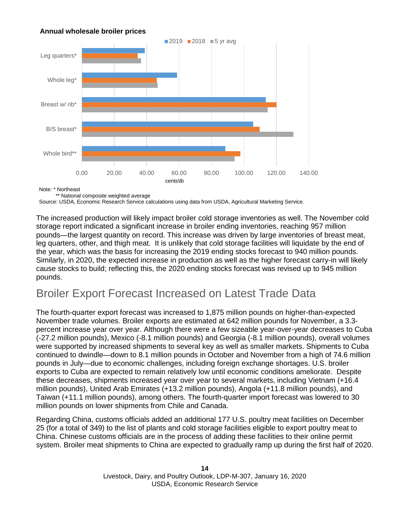### **Annual wholesale broiler prices**



Note: \* Northeast

\*\* National composite weighted average

Source: USDA, Economic Research Service calculations using data from USDA, Agricultural Marketing Service.

The increased production will likely impact broiler cold storage inventories as well. The November cold storage report indicated a significant increase in broiler ending inventories, reaching 957 million pounds—the largest quantity on record. This increase was driven by large inventories of breast meat, leg quarters, other, and thigh meat. It is unlikely that cold storage facilities will liquidate by the end of the year, which was the basis for increasing the 2019 ending stocks forecast to 940 million pounds. Similarly, in 2020, the expected increase in production as well as the higher forecast carry-in will likely cause stocks to build; reflecting this, the 2020 ending stocks forecast was revised up to 945 million pounds.

# Broiler Export Forecast Increased on Latest Trade Data

The fourth-quarter export forecast was increased to 1,875 million pounds on higher-than-expected November trade volumes. Broiler exports are estimated at 642 million pounds for November, a 3.3 percent increase year over year. Although there were a few sizeable year-over-year decreases to Cuba (-27.2 million pounds), Mexico (-8.1 million pounds) and Georgia (-8.1 million pounds), overall volumes were supported by increased shipments to several key as well as smaller markets. Shipments to Cuba continued to dwindle—down to 8.1 million pounds in October and November from a high of 74.6 million pounds in July—due to economic challenges, including foreign exchange shortages. U.S. broiler exports to Cuba are expected to remain relatively low until economic conditions ameliorate. Despite these decreases, shipments increased year over year to several markets, including Vietnam (+16.4 million pounds), United Arab Emirates (+13.2 million pounds), Angola (+11.8 million pounds), and Taiwan (+11.1 million pounds), among others. The fourth-quarter import forecast was lowered to 30 million pounds on lower shipments from Chile and Canada.

Regarding China, customs officials added an additional 177 U.S. poultry meat facilities on December 25 (for a total of 349) to the list of plants and cold storage facilities eligible to export poultry meat to China. Chinese customs officials are in the process of adding these facilities to their online permit system. Broiler meat shipments to China are expected to gradually ramp up during the first half of 2020.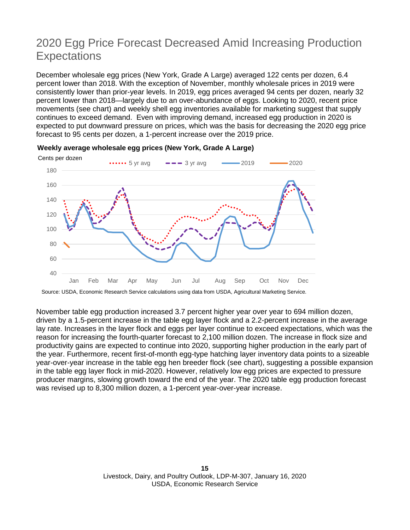# 2020 Egg Price Forecast Decreased Amid Increasing Production **Expectations**

December wholesale egg prices (New York, Grade A Large) averaged 122 cents per dozen, 6.4 percent lower than 2018. With the exception of November, monthly wholesale prices in 2019 were consistently lower than prior-year levels. In 2019, egg prices averaged 94 cents per dozen, nearly 32 percent lower than 2018—largely due to an over-abundance of eggs. Looking to 2020, recent price movements (see chart) and weekly shell egg inventories available for marketing suggest that supply continues to exceed demand. Even with improving demand, increased egg production in 2020 is expected to put downward pressure on prices, which was the basis for decreasing the 2020 egg price forecast to 95 cents per dozen, a 1-percent increase over the 2019 price.



#### **Weekly average wholesale egg prices (New York, Grade A Large)**

Source: USDA, Economic Research Service calculations using data from USDA, Agricultural Marketing Service.

November table egg production increased 3.7 percent higher year over year to 694 million dozen, driven by a 1.5-percent increase in the table egg layer flock and a 2.2-percent increase in the average lay rate. Increases in the layer flock and eggs per layer continue to exceed expectations, which was the reason for increasing the fourth-quarter forecast to 2,100 million dozen. The increase in flock size and productivity gains are expected to continue into 2020, supporting higher production in the early part of the year. Furthermore, recent first-of-month egg-type hatching layer inventory data points to a sizeable year-over-year increase in the table egg hen breeder flock (see chart), suggesting a possible expansion in the table egg layer flock in mid-2020. However, relatively low egg prices are expected to pressure producer margins, slowing growth toward the end of the year. The 2020 table egg production forecast was revised up to 8,300 million dozen, a 1-percent year-over-year increase.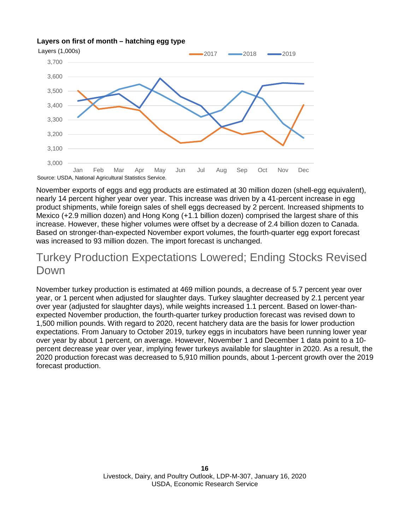#### **Layers on first of month – hatching egg type**



November exports of eggs and egg products are estimated at 30 million dozen (shell-egg equivalent), nearly 14 percent higher year over year. This increase was driven by a 41-percent increase in egg product shipments, while foreign sales of shell eggs decreased by 2 percent. Increased shipments to Mexico (+2.9 million dozen) and Hong Kong (+1.1 billion dozen) comprised the largest share of this increase. However, these higher volumes were offset by a decrease of 2.4 billion dozen to Canada. Based on stronger-than-expected November export volumes, the fourth-quarter egg export forecast was increased to 93 million dozen. The import forecast is unchanged.

### Turkey Production Expectations Lowered; Ending Stocks Revised Down

November turkey production is estimated at 469 million pounds, a decrease of 5.7 percent year over year, or 1 percent when adjusted for slaughter days. Turkey slaughter decreased by 2.1 percent year over year (adjusted for slaughter days), while weights increased 1.1 percent. Based on lower-thanexpected November production, the fourth-quarter turkey production forecast was revised down to 1,500 million pounds. With regard to 2020, recent hatchery data are the basis for lower production expectations. From January to October 2019, turkey eggs in incubators have been running lower year over year by about 1 percent, on average. However, November 1 and December 1 data point to a 10 percent decrease year over year, implying fewer turkeys available for slaughter in 2020. As a result, the 2020 production forecast was decreased to 5,910 million pounds, about 1-percent growth over the 2019 forecast production.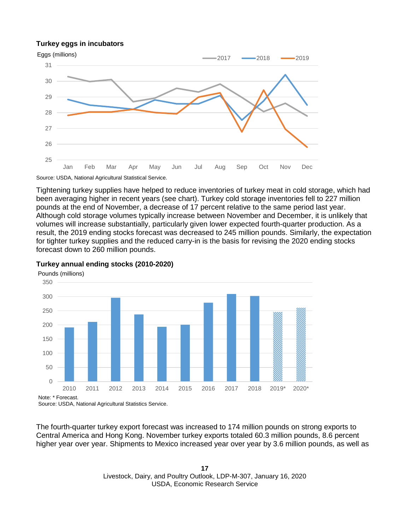#### **Turkey eggs in incubators**



Source: USDA, National Agricultural Statistical Service.

Tightening turkey supplies have helped to reduce inventories of turkey meat in cold storage, which had been averaging higher in recent years (see chart). Turkey cold storage inventories fell to 227 million pounds at the end of November, a decrease of 17 percent relative to the same period last year. Although cold storage volumes typically increase between November and December, it is unlikely that volumes will increase substantially, particularly given lower expected fourth-quarter production. As a result, the 2019 ending stocks forecast was decreased to 245 million pounds. Similarly, the expectation for tighter turkey supplies and the reduced carry-in is the basis for revising the 2020 ending stocks forecast down to 260 million pounds.



#### **Turkey annual ending stocks (2010-2020)**

The fourth-quarter turkey export forecast was increased to 174 million pounds on strong exports to Central America and Hong Kong. November turkey exports totaled 60.3 million pounds, 8.6 percent higher year over year. Shipments to Mexico increased year over year by 3.6 million pounds, as well as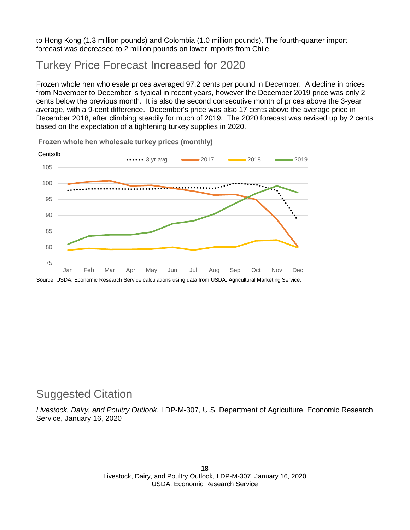to Hong Kong (1.3 million pounds) and Colombia (1.0 million pounds). The fourth-quarter import forecast was decreased to 2 million pounds on lower imports from Chile.

### Turkey Price Forecast Increased for 2020

Frozen whole hen wholesale prices averaged 97.2 cents per pound in December. A decline in prices from November to December is typical in recent years, however the December 2019 price was only 2 cents below the previous month. It is also the second consecutive month of prices above the 3-year average, with a 9-cent difference. December's price was also 17 cents above the average price in December 2018, after climbing steadily for much of 2019. The 2020 forecast was revised up by 2 cents based on the expectation of a tightening turkey supplies in 2020.



**Frozen whole hen wholesale turkey prices (monthly)**

### Suggested Citation

*Livestock, Dairy, and Poultry Outlook*, LDP-M-307, U.S. Department of Agriculture, Economic Research Service, January 16, 2020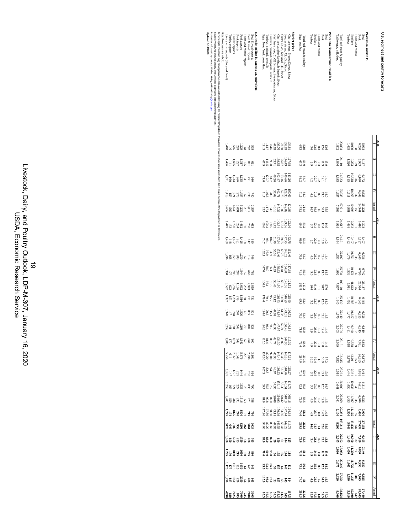| Note: Forecasts are in bold.<br>Live swine imports (thousand head) | <b>Broiler</b> exports<br>lurkey exports                                                                                                                                                                                                                                                                        | Porkimports | Porkexports | Lanb and mutton imports | Beef & veal imports | 1.S. trade, million Ib, carcass wt. equivalent<br>Beef & veal exports | Eggs, New York, cents/doz | Broilers, national composite, cents/lb<br>lurkeys, national, cents/lb | Choice slaughter lambs, St Joseph, \$/cwt<br>Cutter Cows, National L.E., S/cwt<br>Nat'l base cost, 51-52 % lean, live equivalent, Scwt                                                                                                                                                                        | Market prices<br>Choice steers, 5-area Direct, S/cwt<br>Feeder steers, Ok City, S/cwt | Eggs, number<br>Total red meat & poultry                  | Turkeys | <b>Broilers</b><br>Lanb and mutton | Pork<br>Beef                                                                                                                                                                                            | Per capita disappearance, retail Ib 1/ | Table eggs, mil. doz.<br>Fotal red meat & poultry | Turkeys             | Broilers<br>Lamb and mutton                                              | Pork<br>Beef           | Production, million lb |        | U.S. red meat and poultry forecasts |
|--------------------------------------------------------------------|-----------------------------------------------------------------------------------------------------------------------------------------------------------------------------------------------------------------------------------------------------------------------------------------------------------------|-------------|-------------|-------------------------|---------------------|-----------------------------------------------------------------------|---------------------------|-----------------------------------------------------------------------|---------------------------------------------------------------------------------------------------------------------------------------------------------------------------------------------------------------------------------------------------------------------------------------------------------------|---------------------------------------------------------------------------------------|-----------------------------------------------------------|---------|------------------------------------|---------------------------------------------------------------------------------------------------------------------------------------------------------------------------------------------------------|----------------------------------------|---------------------------------------------------|---------------------|--------------------------------------------------------------------------|------------------------|------------------------|--------|-------------------------------------|
|                                                                    |                                                                                                                                                                                                                                                                                                                 |             |             |                         |                     |                                                                       |                           |                                                                       |                                                                                                                                                                                                                                                                                                               |                                                                                       |                                                           |         |                                    |                                                                                                                                                                                                         |                                        |                                                   |                     |                                                                          |                        |                        |        |                                     |
|                                                                    | ន ដូន នី នី ដូន<br>នី ដូន នី នី ដូន                                                                                                                                                                                                                                                                             |             |             |                         |                     |                                                                       |                           |                                                                       | $\frac{13828}{443828}$<br>$\frac{443}{4438}$                                                                                                                                                                                                                                                                  | 134.81<br>155.83                                                                      | $\begin{array}{c} 5.9 \\ 6.3 \end{array}$                 |         |                                    | $\frac{13}{20}$ $\frac{17}{20}$ $\frac{19}{20}$                                                                                                                                                         |                                        | 23,834<br>$1.812$                                 |                     | 5.000<br>2009<br>2009<br>2009                                            |                        |                        |        |                                     |
|                                                                    |                                                                                                                                                                                                                                                                                                                 |             |             |                         |                     |                                                                       |                           |                                                                       |                                                                                                                                                                                                                                                                                                               |                                                                                       | 53.0<br>67.3                                              |         |                                    | $\frac{13}{3} - \frac{5}{3}$ $\frac{27}{3}$                                                                                                                                                             |                                        | 24,119<br>1,846                                   |                     | e 3, 9<br>1989<br>1989                                                   |                        |                        |        |                                     |
|                                                                    | 음<br>그 등 없는 걸음                                                                                                                                                                                                                                                                                                  |             |             |                         |                     |                                                                       |                           |                                                                       | 73.16<br>162.47<br>49.26<br>20.71.5                                                                                                                                                                                                                                                                           | 113.26<br>140.66                                                                      | 53.7                                                      |         |                                    | $\frac{1}{4}$ $\frac{1}{3}$ $\frac{3}{3}$ $\frac{5}{3}$ $\frac{4}{3}$                                                                                                                                   |                                        | 24,623<br>1,895                                   |                     | ្គស្គារ<br>អនុម្ម និង<br>ដែននីង                                          |                        |                        | Ξ      |                                     |
|                                                                    | בְהַבְּהַפְּאָם ¥<br>בְּהֲצְמָקָׁאָם ¥                                                                                                                                                                                                                                                                          |             |             |                         |                     |                                                                       |                           | $\frac{78}{81}$                                                       | 107.83<br>128.37.71<br>197.7.1                                                                                                                                                                                                                                                                                |                                                                                       | 54.9                                                      |         |                                    | $\frac{13}{30} \frac{13}{30} \frac{21}{30}$                                                                                                                                                             |                                        | 25,038<br>1,957                                   |                     | $\begin{array}{c} 6.66 \\ 1.51 \\ 1.90 \\ 1.51 \\ 1.51 \end{array}$      |                        |                        | ₹      |                                     |
|                                                                    |                                                                                                                                                                                                                                                                                                                 |             |             |                         |                     |                                                                       |                           |                                                                       | $\frac{13}{36}$ $\frac{15}{36}$ $\frac{15}{36}$ $\frac{15}{36}$ $\frac{17}{36}$ $\frac{17}{36}$ $\frac{17}{22}$                                                                                                                                                                                               |                                                                                       | 214.6<br>275.2                                            |         |                                    | $28 + 82$<br>$-82$<br>$-82$<br>$-82$<br>$-82$                                                                                                                                                           |                                        | $97,614$<br>7,509                                 |                     |                                                                          | 25,221                 |                        | Annual |                                     |
|                                                                    | $\frac{1}{6}$ $\frac{1}{6}$ $\frac{1}{6}$ $\frac{1}{6}$ $\frac{1}{6}$ $\frac{1}{6}$ $\frac{1}{6}$ $\frac{1}{6}$ $\frac{1}{6}$ $\frac{1}{6}$ $\frac{1}{6}$ $\frac{1}{6}$                                                                                                                                         |             |             |                         |                     |                                                                       |                           | 8.888                                                                 | $63.348$<br>$33.13$                                                                                                                                                                                                                                                                                           | 122.96<br>129.56                                                                      | 53.2                                                      |         |                                    | $\frac{1}{2}$ $\frac{1}{2}$ $\frac{1}{3}$ $\frac{1}{3}$ $\frac{1}{4}$ $\frac{1}{5}$                                                                                                                     |                                        | 24,617<br>1,928                                   |                     | 6 64<br>1925<br>1938<br>1938                                             |                        |                        |        |                                     |
|                                                                    | $25.75$<br>$25.75$<br>$25.75$<br>$25.75$                                                                                                                                                                                                                                                                        |             |             |                         |                     |                                                                       |                           | $\frac{5}{74.7}$                                                      | 69.55<br>51.70                                                                                                                                                                                                                                                                                                | 132.76<br>147.75                                                                      | S3.3                                                      |         |                                    | $\frac{11}{3} = 0.81$<br>$\frac{21}{12}$                                                                                                                                                                |                                        | $1.934$<br>1.934                                  |                     | 6.13<br>13<br>13<br>13<br>13                                             | $-0.40$                |                        |        |                                     |
|                                                                    |                                                                                                                                                                                                                                                                                                                 |             |             |                         |                     |                                                                       |                           | $94.9$<br>$96.9$                                                      | 69.78<br>55.59                                                                                                                                                                                                                                                                                                | 112.46                                                                                | 54.7                                                      |         |                                    | $\frac{1}{4}$ $\frac{1}{4}$ $\frac{1}{3}$ $\frac{1}{3}$ $\frac{3}{3}$                                                                                                                                   |                                        | 25,197                                            |                     | 663<br>1953<br>1953                                                      |                        |                        | Ξ      |                                     |
|                                                                    | 2<br>2021<br>2021<br>2021<br>2021                                                                                                                                                                                                                                                                               |             |             |                         |                     |                                                                       |                           | $\begin{array}{c} 86.1 \\ 88.0 \\ 147.0 \end{array}$                  | $\begin{array}{c} 58.68 \\ 136.92 \\ 44.89 \end{array}$                                                                                                                                                                                                                                                       | 117.88<br>154.88                                                                      | 55.9                                                      |         |                                    | $\frac{1}{30}$ $\frac{1}{30}$ $\frac{5}{30}$                                                                                                                                                            |                                        | 25,734<br>1,992                                   |                     | ector<br>1925<br>1938<br>1933                                            |                        |                        | ₹      |                                     |
|                                                                    | 332333333<br>332333588                                                                                                                                                                                                                                                                                          |             |             |                         |                     |                                                                       |                           | 83<br>11009<br>1009                                                   | 66.16<br>154.90<br>50.48                                                                                                                                                                                                                                                                                      | 121.52<br>145.08                                                                      | 217.2<br>281.8                                            |         |                                    | $289 - 379$<br>$-379$                                                                                                                                                                                   |                                        | 100,169<br>$7.807$                                |                     | $\begin{array}{l} 26,187\\ 25,384\\ 41,662\\ 5,981 \end{array}$          |                        |                        | Annual |                                     |
|                                                                    | មិនក្នុង មិន គ្មា<br>ដូន មិន និង                                                                                                                                                                                                                                                                                |             |             |                         |                     |                                                                       |                           | 95.7<br>79.4                                                          | 136.83<br>09'19                                                                                                                                                                                                                                                                                               | 125.60<br>146.29                                                                      | S3.4<br>69.6                                              |         |                                    | $\begin{array}{c}\n 1720 \\  -200 \\  -200\n \end{array}$                                                                                                                                               |                                        | 25,130<br>1,940                                   | $10,385$<br>$1,452$ | 6645<br>Str99                                                            | 99+9                   |                        |        |                                     |
|                                                                    | ្អូង អ្នក នៃ ខ្លួន ដូ                                                                                                                                                                                                                                                                                           |             |             |                         |                     |                                                                       |                           | 115.1<br>79.6                                                         | 61.32<br>154.86                                                                                                                                                                                                                                                                                               | 11672<br>143.05                                                                       | 54.4                                                      |         |                                    | はにっぽぇ                                                                                                                                                                                                   |                                        | 25,410<br>1,970                                   | 10,687              |                                                                          | 6,726<br>6,325<br>8,39 |                        |        |                                     |
|                                                                    | $\begin{array}{l} 238 \\ 112 \\ 134 \\ 1,25 \\ 1,25 \\ 1,25 \\ 1,25 \\ 1,25 \\ 1,25 \\ 1,25 \\ 1,25 \\ 1,25 \\ 1,25 \\ 1,25 \\ 1,25 \\ 1,25 \\ 1,25 \\ 1,25 \\ 1,25 \\ 1,25 \\ 1,25 \\ 1,25 \\ 1,25 \\ 1,25 \\ 1,25 \\ 1,25 \\ 1,25 \\ 1,25 \\ 1,25 \\ 1,25 \\ 1,25 \\ 1,25 \\ 1,25 \\ 1,25 \\ 1,25 \\ 1,25 \\$ |             |             |                         |                     |                                                                       |                           |                                                                       | $\begin{array}{r} 110.83 \\ 150.46 \\ 147.95 \end{array}$<br>$\begin{array}{r} 43.90 \\ 33.7 \\ 120.8 \\ 120.8 \end{array}$                                                                                                                                                                                   |                                                                                       | 55.0                                                      |         |                                    | $\frac{1}{4}$ $\frac{1}{4}$ $\frac{1}{4}$ $\frac{0}{4}$ $\frac{0}{4}$ $\frac{0}{8}$ $\frac{0}{9}$                                                                                                       |                                        | $25,704$<br>$2,003$                               |                     | ee<br>1999<br>1999<br>1991                                               |                        |                        | Ħ      |                                     |
|                                                                    | ន្ត ខ្លួន ដូន ខ្លួ                                                                                                                                                                                                                                                                                              |             |             |                         |                     |                                                                       |                           |                                                                       | $\begin{array}{r} 11.73 \\ 12.8 \\ 33.8 \\ 56.9 \\ 67.8 \\ 78.9 \\ 87.9 \\ 19.9 \\ 10.9 \\ 14.9 \\ 15.9 \\ 16.9 \\ 17.9 \\ 18.9 \\ 19.9 \\ 19.9 \\ 19.9 \\ 19.9 \\ 19.9 \\ 19.9 \\ 19.9 \\ 19.9 \\ 19.9 \\ 19.9 \\ 19.9 \\ 19.9 \\ 19.9 \\ 19.9 \\ 19.9 \\ 19.9 \\ 19.9 \\ 19.9 \\ 19.9 \\ 19.9 \\ 19.9 \\ 1$ |                                                                                       | 56.6                                                      |         |                                    | $\begin{array}{c}\n\overline{4} \ \overline{10} \ \overline{0} \ \overline{0} \ \overline{14} \\ \overline{4} \ \overline{8} \ \overline{10} \ \overline{2} \ \overline{8} \ \overline{9}\n\end{array}$ |                                        | 26,191<br>2,039                                   |                     | 0.62<br>882<br>983<br>983<br>983<br>983                                  |                        |                        | ₹      |                                     |
|                                                                    | $3.298$<br>$2.398$<br>$2.198$<br>$2.198$<br>$2.198$<br>$2.25$                                                                                                                                                                                                                                                   |             |             |                         |                     |                                                                       |                           |                                                                       | 117.12<br>146.93<br>143.49<br>137.60<br>137.60                                                                                                                                                                                                                                                                |                                                                                       | 219.5                                                     |         |                                    | $233 - 373$                                                                                                                                                                                             |                                        | $\begin{array}{c} 02,435 \\ 7,952 \end{array}$    |                     | 26.312<br>និង 12.5<br>សន                                                 |                        |                        | Annual |                                     |
|                                                                    | ្ត<br>ខែមក មិន ដូន                                                                                                                                                                                                                                                                                              |             |             |                         |                     |                                                                       |                           |                                                                       | 125,334,25<br>125,34,25<br>127,34,25                                                                                                                                                                                                                                                                          |                                                                                       | <b>53.6</b>                                               |         |                                    | $\frac{13}{22} \frac{1}{29} \frac{5}{29}$                                                                                                                                                               |                                        | $25,264$<br>$2,018$                               |                     | $\begin{array}{cc}\n6.6 & 0.38 \\ -1.44 \\ -1.44\n\end{array}$           |                        |                        |        | 2019                                |
|                                                                    | នីនីដូនីកនីនី                                                                                                                                                                                                                                                                                                   |             |             |                         |                     |                                                                       |                           |                                                                       | 11828<br>283616888<br>28362282                                                                                                                                                                                                                                                                                |                                                                                       | 55.5                                                      |         |                                    | $\begin{array}{cccccc}\n\Xi & \overline{\Omega} & \overline{\Omega} & \overline{\Omega} & \overline{\Omega} & \overline{\Omega} & \overline{\Omega} & \overline{\Omega}\n\end{array}$                   |                                        | 26,000<br>2,041                                   |                     | 6.814<br>0.933<br>1.450                                                  |                        |                        |        |                                     |
|                                                                    | មិនីនីគន្ធន៍<br>ក្នុងនិង                                                                                                                                                                                                                                                                                        |             |             |                         |                     |                                                                       |                           |                                                                       |                                                                                                                                                                                                                                                                                                               |                                                                                       | 56.5                                                      |         |                                    | $\frac{1}{2}$ $\frac{1}{2}$ $\frac{1}{2}$ $\frac{1}{2}$ $\frac{1}{2}$ $\frac{1}{2}$                                                                                                                     |                                        | 26,669<br>2,041                                   |                     | 0.05<br>25 397<br>25 397                                                 |                        |                        | Ξ      |                                     |
|                                                                    | រ<br>ដូកខ្លួននិងដូ                                                                                                                                                                                                                                                                                              |             |             |                         |                     |                                                                       |                           |                                                                       | 114.88<br>1474469<br>11714469<br>11729                                                                                                                                                                                                                                                                        |                                                                                       | $\frac{58.2}{74.0}$                                       |         |                                    | $\frac{11}{3}$ $\frac{1}{3}$ $\frac{1}{3}$ $\frac{1}{3}$ $\frac{1}{3}$                                                                                                                                  |                                        | 27.281<br>2.100                                   |                     | 1. 1. 11.<br>11. 11. 12.<br>11. 12. 12.                                  |                        |                        | ₹      |                                     |
|                                                                    | 35<br>2538 834<br>2538 835                                                                                                                                                                                                                                                                                      |             |             |                         |                     |                                                                       |                           |                                                                       | $\frac{11}{36}$<br>$\frac{13}{36}$<br>$\frac{13}{36}$<br>$\frac{13}{36}$<br>$\frac{13}{36}$<br>$\frac{13}{36}$<br>$\frac{13}{36}$<br>$\frac{13}{36}$                                                                                                                                                          |                                                                                       | 233.9                                                     |         |                                    | <b>822725</b>                                                                                                                                                                                           |                                        | IO5.214<br>8.200                                  |                     | 27.153<br>27.639<br>5.849                                                |                        |                        | Annal  |                                     |
|                                                                    | ្ត ខ្លួន ខ្លួន<br>ស្ថិត ខ្លួន ខេត្ត                                                                                                                                                                                                                                                                             |             |             |                         |                     |                                                                       |                           |                                                                       | <b>511258383</b>                                                                                                                                                                                                                                                                                              |                                                                                       | 34.5                                                      |         |                                    | 1313<br>2313                                                                                                                                                                                            |                                        | 26,202<br>2,045                                   |                     | 275<br>2788<br>2878                                                      |                        |                        |        | 2020                                |
|                                                                    | ន្ទអូនខ្ទីដូរ<br>ដូងនន្ទីដូន                                                                                                                                                                                                                                                                                    |             |             |                         |                     |                                                                       |                           |                                                                       | <b>នីទីទី</b> នី ឆី ឆី ដី ដី                                                                                                                                                                                                                                                                                  |                                                                                       | 56.4                                                      |         |                                    | $\frac{17}{3}$ $\frac{73}{3}$ $\frac{33}{3}$                                                                                                                                                            |                                        | 26.982<br>2.060                                   |                     | 7.146<br>6.85<br>1.450                                                   |                        |                        |        |                                     |
|                                                                    | និង <b>១ ខី ដ</b> ដី ដី                                                                                                                                                                                                                                                                                         |             |             |                         |                     |                                                                       |                           |                                                                       | <b>25288255</b>                                                                                                                                                                                                                                                                                               |                                                                                       | 56.6                                                      |         |                                    | $\frac{1}{3}$ $\frac{1}{3}$ $\frac{3}{3}$ $\frac{8}{3}$                                                                                                                                                 |                                        | 27.216<br>2.075                                   |                     | 6.88<br>11.725<br>1.465                                                  |                        |                        | E      |                                     |
|                                                                    | ន្តមន្ត្រី<br>និងខ្នងខ្នាំ                                                                                                                                                                                                                                                                                      |             |             |                         |                     |                                                                       |                           |                                                                       | ក្នុង គួន នី នី <u>ក្នុ</u>                                                                                                                                                                                                                                                                                   |                                                                                       | 74.7                                                      |         |                                    | $\frac{17}{3}$ $\frac{3}{3}$ $\frac{3}{3}$ $\frac{3}{3}$                                                                                                                                                |                                        | 27.754<br>2.120                                   |                     | $\frac{6,925}{11,425}$<br>11,425                                         |                        |                        | ₹      |                                     |
|                                                                    |                                                                                                                                                                                                                                                                                                                 |             |             |                         |                     |                                                                       |                           |                                                                       | <u>ដ្ឋ ក្នុង និងនិង</u><br>ស្ថិតនិងនិងនិង                                                                                                                                                                                                                                                                     |                                                                                       | ន្ត្ <u>រី។ ទីក្នុង និង</u><br>ស្ថិត ស្ថិត<br>ស្ថិត ស្ថិត |         |                                    |                                                                                                                                                                                                         |                                        | 108.154<br>8.300                                  |                     | $\begin{smallmatrix} 27.44 \\ 28.64 \\ 5.910 \\ 5.910 \end{smallmatrix}$ |                        |                        | Annual |                                     |

1/ Per capita meat and egg disappearance data are calculated using the Resident Population Plus Armed Forces Overseas series from the Census Bureau of the Department of Commerce. 1/ Percapita meat and egg disappearance data are calculated using the Resident Professor<br>Professor and and an apply and Demonstrated and activities of Support to Marine For International Support of<br>For further information,

Source: World Agricultural Supply and Demand Estimates and Supporting Materials.

For further information, contact: Mildred Haley, mildred.haley

**Updated 1/14/2020**